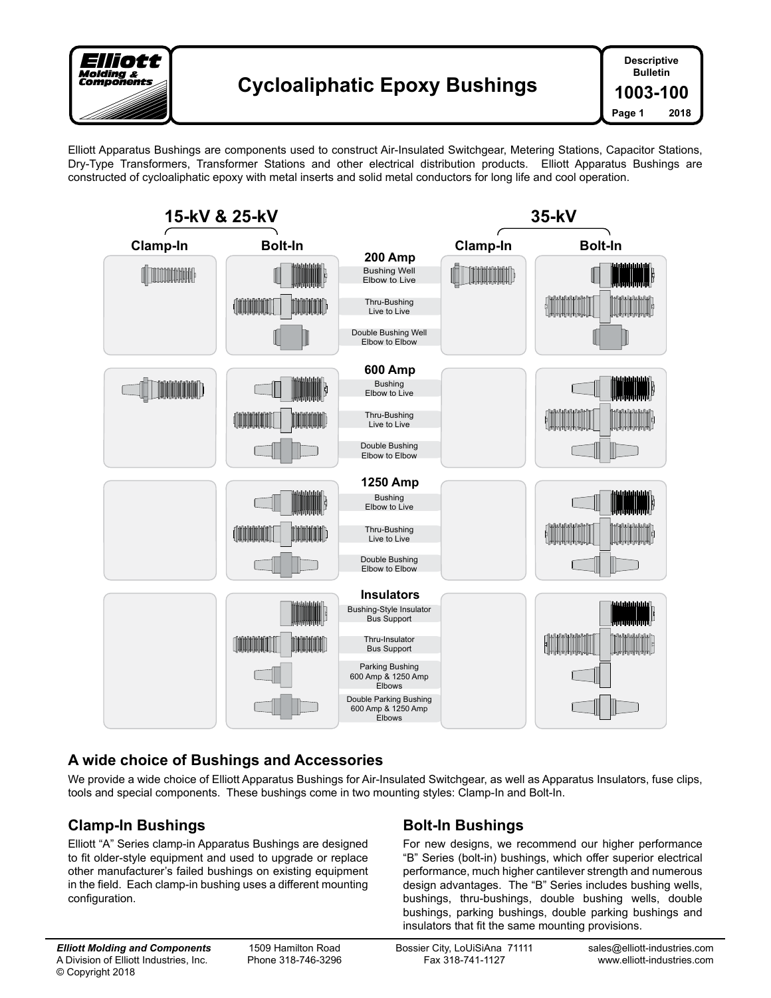

Elliott Apparatus Bushings are components used to construct Air-Insulated Switchgear, Metering Stations, Capacitor Stations, Dry-Type Transformers, Transformer Stations and other electrical distribution products. Elliott Apparatus Bushings are constructed of cycloaliphatic epoxy with metal inserts and solid metal conductors for long life and cool operation.



## **A wide choice of Bushings and Accessories**

We provide a wide choice of Elliott Apparatus Bushings for Air-Insulated Switchgear, as well as Apparatus Insulators, fuse clips, tools and special components. These bushings come in two mounting styles: Clamp-In and Bolt-In.

## **Clamp-In Bushings**

Elliott "A" Series clamp-in Apparatus Bushings are designed to fit older-style equipment and used to upgrade or replace other manufacturer's failed bushings on existing equipment in the field. Each clamp-in bushing uses a different mounting configuration.

# **Bolt-In Bushings**

For new designs, we recommend our higher performance "B" Series (bolt-in) bushings, which offer superior electrical performance, much higher cantilever strength and numerous design advantages. The "B" Series includes bushing wells, bushings, thru-bushings, double bushing wells, double bushings, parking bushings, double parking bushings and insulators that fit the same mounting provisions.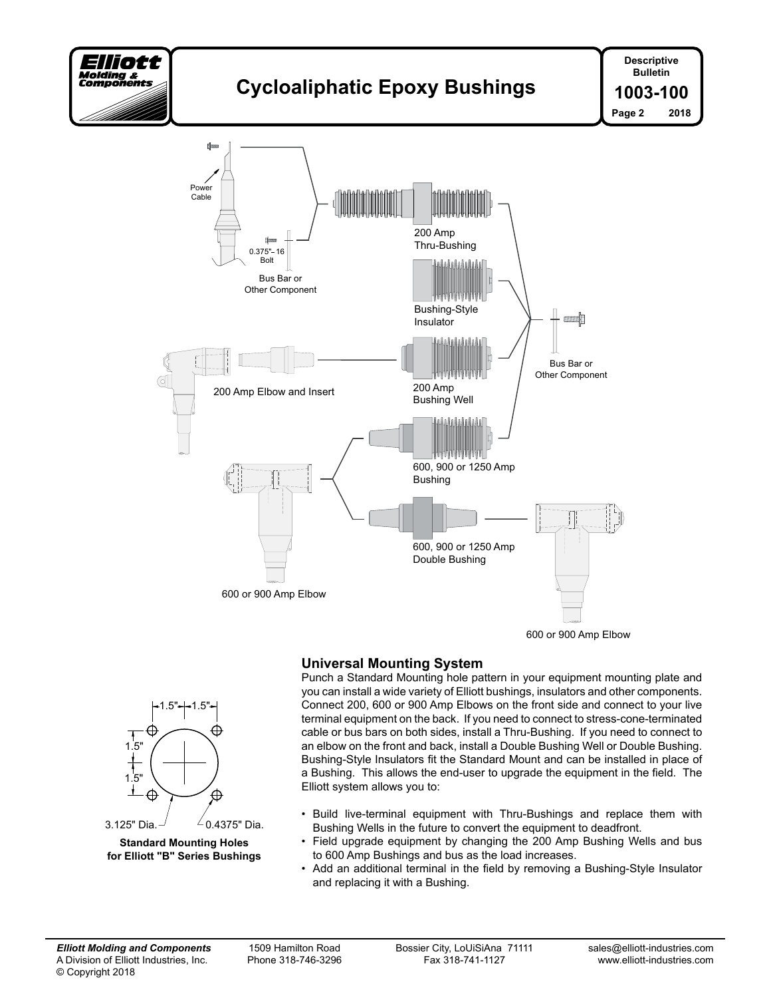

# **Cycloaliphatic Epoxy Bushings**



## **Universal Mounting System**



- Build live-terminal equipment with Thru-Bushings and replace them with Bushing Wells in the future to convert the equipment to deadfront.
- Field upgrade equipment by changing the 200 Amp Bushing Wells and bus to 600 Amp Bushings and bus as the load increases.
- Add an additional terminal in the field by removing a Bushing-Style Insulator and replacing it with a Bushing.



 $1.5" + 1.5$ 

**Standard Mounting Holes for Elliott "B" Series Bushings**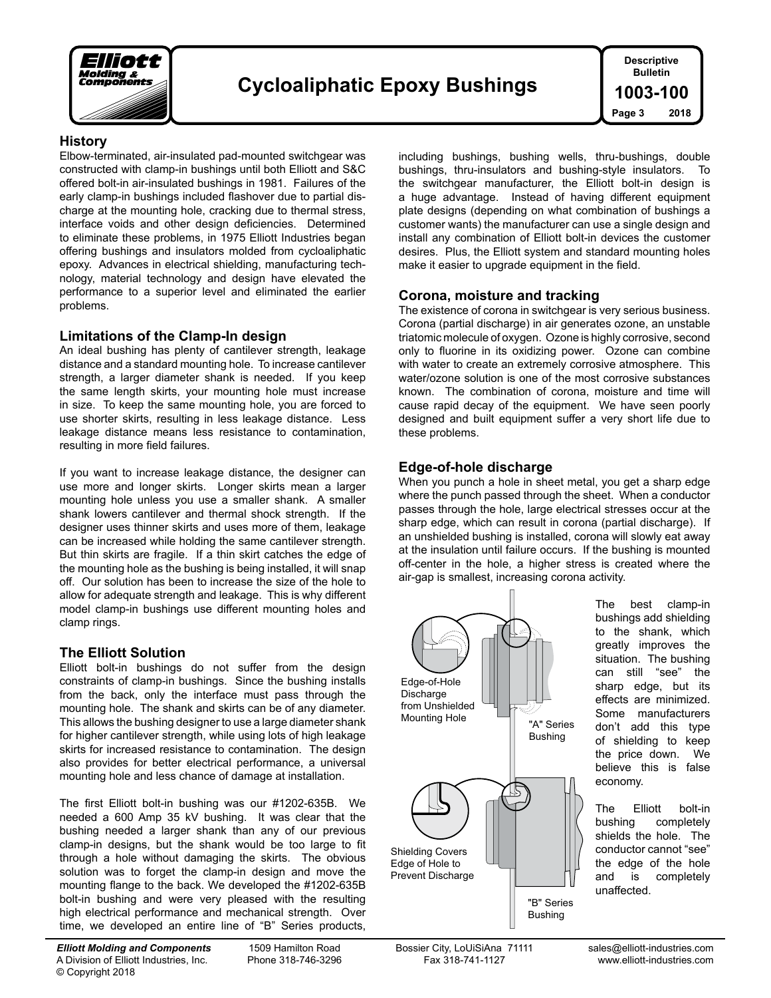

#### **History**

Elbow-terminated, air-insulated pad-mounted switchgear was constructed with clamp-in bushings until both Elliott and S&C offered bolt-in air-insulated bushings in 1981. Failures of the early clamp-in bushings included flashover due to partial discharge at the mounting hole, cracking due to thermal stress, interface voids and other design deficiencies. Determined to eliminate these problems, in 1975 Elliott Industries began offering bushings and insulators molded from cycloaliphatic epoxy. Advances in electrical shielding, manufacturing technology, material technology and design have elevated the performance to a superior level and eliminated the earlier problems.

#### **Limitations of the Clamp-In design**

An ideal bushing has plenty of cantilever strength, leakage distance and a standard mounting hole. To increase cantilever strength, a larger diameter shank is needed. If you keep the same length skirts, your mounting hole must increase in size. To keep the same mounting hole, you are forced to use shorter skirts, resulting in less leakage distance. Less leakage distance means less resistance to contamination, resulting in more field failures.

If you want to increase leakage distance, the designer can use more and longer skirts. Longer skirts mean a larger mounting hole unless you use a smaller shank. A smaller shank lowers cantilever and thermal shock strength. If the designer uses thinner skirts and uses more of them, leakage can be increased while holding the same cantilever strength. But thin skirts are fragile. If a thin skirt catches the edge of the mounting hole as the bushing is being installed, it will snap off. Our solution has been to increase the size of the hole to allow for adequate strength and leakage. This is why different model clamp-in bushings use different mounting holes and clamp rings.

#### **The Elliott Solution**

Elliott bolt-in bushings do not suffer from the design constraints of clamp-in bushings. Since the bushing installs from the back, only the interface must pass through the mounting hole. The shank and skirts can be of any diameter. This allows the bushing designer to use a large diameter shank for higher cantilever strength, while using lots of high leakage skirts for increased resistance to contamination. The design also provides for better electrical performance, a universal mounting hole and less chance of damage at installation.

The first Elliott bolt-in bushing was our #1202-635B. We needed a 600 Amp 35 kV bushing. It was clear that the bushing needed a larger shank than any of our previous clamp-in designs, but the shank would be too large to fit through a hole without damaging the skirts. The obvious solution was to forget the clamp-in design and move the mounting flange to the back. We developed the #1202-635B bolt-in bushing and were very pleased with the resulting high electrical performance and mechanical strength. Over time, we developed an entire line of "B" Series products,

A Division of Elliott Industries, Inc. Phone 318-746-3296 Fax 318-741-1127 www.elliott-industries.com © Copyright 2018

bushings, thru-insulators and bushing-style insulators. To the switchgear manufacturer, the Elliott bolt-in design is a huge advantage. Instead of having different equipment plate designs (depending on what combination of bushings a customer wants) the manufacturer can use a single design and install any combination of Elliott bolt-in devices the customer desires. Plus, the Elliott system and standard mounting holes make it easier to upgrade equipment in the field.

including bushings, bushing wells, thru-bushings, double

#### **Corona, moisture and tracking**

The existence of corona in switchgear is very serious business. Corona (partial discharge) in air generates ozone, an unstable triatomic molecule of oxygen. Ozone is highly corrosive, second only to fluorine in its oxidizing power. Ozone can combine with water to create an extremely corrosive atmosphere. This water/ozone solution is one of the most corrosive substances known. The combination of corona, moisture and time will cause rapid decay of the equipment. We have seen poorly designed and built equipment suffer a very short life due to these problems.

#### **Edge-of-hole discharge**

When you punch a hole in sheet metal, you get a sharp edge where the punch passed through the sheet. When a conductor passes through the hole, large electrical stresses occur at the sharp edge, which can result in corona (partial discharge). If an unshielded bushing is installed, corona will slowly eat away at the insulation until failure occurs. If the bushing is mounted off-center in the hole, a higher stress is created where the air-gap is smallest, increasing corona activity.



The best clamp-in bushings add shielding to the shank, which greatly improves the situation. The bushing can still "see" the sharp edge, but its effects are minimized. Some manufacturers don't add this type of shielding to keep the price down. We believe this is false economy.

The Elliott bolt-in bushing completely shields the hole. The conductor cannot "see" the edge of the hole and is completely unaffected.

*Elliott Molding and Components* 1509 Hamilton Road Bossier City, LoUiSiAna 71111 sales@elliott-industries.com